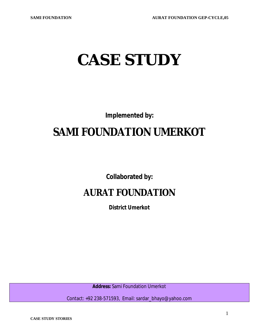# **CASE STUDY**

**Implemented by:**

## **SAMI FOUNDATION UMERKOT**

**Collaborated by:**

## **AURAT FOUNDATION**

**District Umerkot**

**Address:** Sami Foundation Umerkot

Contact: +92 238-571593, Email: sardar\_bhayo@yahoo.com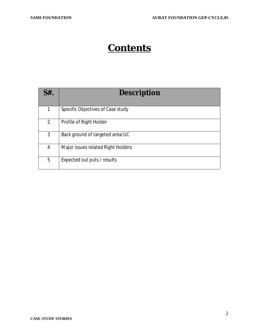## **Contents**

| $S#$ .       | <b>Description</b>                 |
|--------------|------------------------------------|
| $\mathbf{1}$ | Specific Objectives of Case study  |
| 2            | Profile of Right Holder            |
| 3            | Back ground of targeted area/UC    |
| 4            | Major issues related Right Holders |
| 5            | Expected out puts / results        |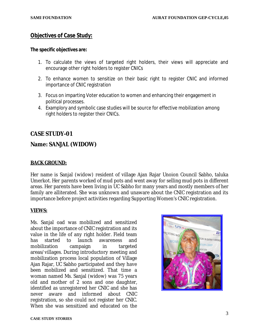### **Objectives of Case Study:**

#### **The specific objectives are:**

- 1. To calculate the views of targeted right holders, their views will appreciate and encourage other right holders to register CNICs
- 2. To enhance women to sensitize on their basic right to register CNIC and informed importance of CNIC registration
- 3. Focus on imparting Voter education to women and enhancing their engagement in political processes.
- 4. Examplory and symbolic case studies will be source for effective mobilization among right holders to register their CNICs.

### **CASE STUDY-01**

### **Name: SANJAL (WIDOW)**

#### **BACK GROUND:**

Her name is Sanjal (widow) resident of village Ajan Rajar Unoion Council Sabho, taluka Umerkot. Her parents worked of mud pots and went away for selling mud pots in different areas. Her parents have been living in UC Sabho for many years and mostly members of her family are alliterated. She was unknown and unaware about the CNIC registration and its importance before project activities regarding Supporting Women's CNIC registration.

#### **VIEWS:**

Ms. Sanjal oad was mobilized and sensitized about the importance of CNIC registration and its value in the life of any right holder. Field team has started to launch awareness and mobilization campaign in targeted areas/villages. During introductory meeting and mobilization process local population of Village Ajan Rajar, UC Sabho participated and they have been mobilized and sensitized. That time a woman named Ms. Sanjal (widow) was 75 years old and mother of 2 sons and one daughter, identified as unregistered her CNIC and she has never aware and informed about CNIC registration, so she could not register her CNIC. When she was sensitized and educated on the

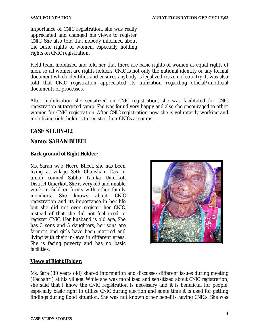importance of CNIC registration, she was really appreciated and changed his views to register CNIC. She also told that nobody informed about the basic rights of women, especially holding rights on CNIC registration.

Field team mobilized and told her that there are basic rights of women as equal rights of men, so all women are rights holders. CNIC is not only the national identity or any formal document which identifies and ensures anybody is legalized citizen of country. It was also told that CNIC registration appreciated its utilization regarding official/unofficial documents or processes.

After mobilization she sensitized on CNIC registration, she was facilitated for CNIC registration at targeted camp. She was found very happy and also she encouraged to other women for CNIC registration. After CNIC registration now she is voluntarily working and mobilizing right holders to register their CNICs at camps.

### **CASE STUDY-02**

### **Name: SARAN BHEEL**

### **Back ground of Right Holder:**

Ms. Saran w/o Heero Bheel, she has been living at village Seth Ghansham Das in union council Sabho Taluka Umerkot, District Umerkot. She is very old and unable work in field or forms with other family members. She knows about CNIC registration and its importance in her life but she did not ever register her CNIC, instead of that she did not feel need to register CNIC. Her husband is old age, She has 3 sons and 5 daughters, her sons are farmers and girls have been married and living with their in-laws in different areas. She is facing poverty and has no basic facilities.



#### **Views of Right Holder:**

Ms. Sara (80 years old) shared information and discusses different issues during meeting (Kachahri) at his village. While she was mobilized and sensitized about CNIC registration, she said that I know the CNIC registration is necessary and it is beneficial for people, especially basic right to utilize CNIC during election and some time it is used for getting findings during flood situation. She was not known other benefits having CNICs. She was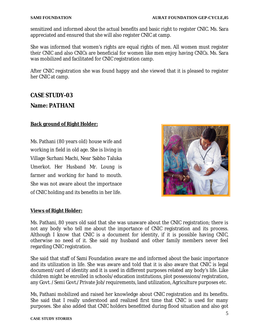sensitized and informed about the actual benefits and basic right to register CNIC. Ms. Sara appreciated and ensured that she will also register CNIC at camp.

She was informed that women's rights are equal rights of men. All women must register their CNIC and also CNICs are beneficial for women like men enjoy having CNICs. Ms. Sara was mobilized and facilitated for CNIC registration camp.

After CNIC registration she was found happy and she viewed that it is pleased to register her CNIC at camp.

## **CASE STUDY-03**

#### **Name: PATHANI**

#### **Back ground of Right Holder:**

Ms. Pathani (80 years old) house wife and working in field in old age. She is living in Village Surhani Machi, Near Sabho Taluka Umerkot. Her Husband Mr. Loung is farmer and working for hand to mouth. She was not aware about the importnace of CNIC holding and its benefits in her life.



#### **Views of Right Holder:**

Ms. Pathani, 80 years old said that she was unaware about the CNIC registration; there is not any body who tell me about the importance of CNIC registration and its process. Although I know that CNIC is a document for identity, if it is possible having CNIC, otherwise no need of it. She said my husband and other family members never feel regarding CNIC registration.

She said that staff of Sami Foundation aware me and informed about the basic importance and its utilization in life. She was aware and told that it is also aware that CNIC is legal document/card of identity and it is used in different purposes related any body's life. Like children might be enrolled in schools/education institutions, plot possessions/registration, any Govt. /Semi Govt./Private Job/requirements, land utilization, Agriculture purposes etc.

Ms, Pathani mobilized and raised her knowledge about CNIC registration and its benefits. She said that I really understood and realized first time that CNIC is used for many purposes. She also added that CNIC holders benefitted during flood situation and also got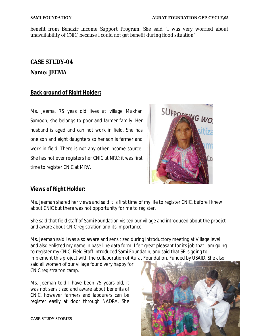benefit from Benazir Income Support Program. She said "I was very worried about unavailability of CNIC, because I could not get benefit during flood situation"

#### **CASE STUDY-04**

#### **Name: JEEMA**

### **Back ground of Right Holder:**

Ms. Jeema, 75 yeas old lives at village Makhan Samoon; she belongs to poor and farmer family. Her husband is aged and can not work in field. She has one son and eight daughters so her son is farmer and work in field. There is not any other income source. She has not ever registers her CNIC at NRC; it was first time to register CNIC at MRV.



### **Views of Right Holder:**

Ms. Jeeman shared her views and said it is first time of my life to register CNIC, before I knew about CNIC but there was not opportunity for me to register.

She said that field staff of Sami Foundation visited our village and introduced about the proejct and aware about CNIC registration and its importance.

Ms. Jeeman said I was also aware and sensitized during introductory meeting at Village level and also enlisted my name in base line data form. I felt great pleasant for its job that I am going to register my CNIC. Field Staff introduced Sami Foundatin, and said that SF is going to implement this project with the collaboration of Aurat Foundation, Funded by USAID. She also

said all women of our village found very happy for CNIC registraiton camp.

Ms. Jeeman told I have been 75 years old, it was not sensitized and aware about benefits of CNIC, however farmers and labourers can be register easily at door through NADRA. She

**CASE STUDY STORIES** 

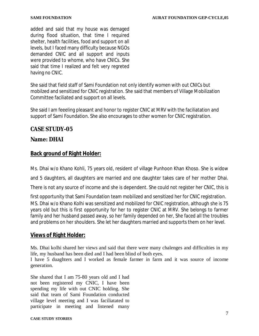added and said that my house was demaged during flood situation, that time I required shelter, health facilities, food and support on all levels, but I faced many difficulty because NGOs demanded CNIC and all support and inputs were provided to whome, who have CNICs. She said that time I realized and felt very regreted having no CNIC.

She said that field staff of Sami Foundation not only identify women with out CNICs but mobilzed and sensitized for CNIC registration. She said that members of Village Mobilization Committee faciliated and support on all levels.

She said I am feeeling pleasant and honor to register CNIC at MRV with the faciliatation and support of Sami Foundation. She also encourages to other women for CNIC registration.

#### **CASE STUDY-05**

#### **Name: DHAI**

#### **Back ground of Right Holder:**

Ms. Dhai w/o Khano Kohli, 75 years old, resident of village Punhoon Khan Khoso. She is widow

and 5 daughters, all daughters are married and one daughter takes care of her mother Dhai.

There is not any source of income and she is dependent. She could not register her CNIC, this is

first opportunity that Sami Foundation team mobilized and sensitized her for CNIC registration. MS. Dhai w/o Khano Kolhi was sensitized and mobilized for CNIC registration, although she is 75 years old but this is first opportunity for her to register CNIC at MRV. She belongs to farmer family and her husband passed away, so her family depended on her, She faced all the troubles and problems on her shoulders. She let her daughters married and supports them on her level.

#### **Views of Right Holder:**

Ms. Dhai kolhi shared her views and said that there were many chalenges and difficulties in my life, my husband has been died and I had been blind of both eyes.

I have 5 duaghters and I worked as female farmer in farm and it was source of income generation.

She shared that I am 75-80 years old and I had not been registered my CNIC, I have been spending my life with out CNIC holding. She said that team of Sami Foundation conducted village level meeting and I was faciliatated to participate in meeting and listened many